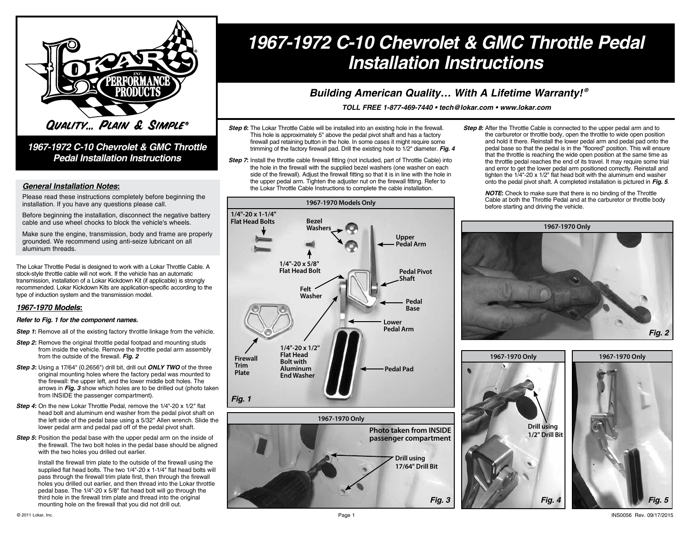

### *1967-1972 C-10 Chevrolet & GMC Throttle Pedal Installation Instructions*

#### *General Installation Notes:*

Please read these instructions completely before beginning the installation. If you have any questions please call.

Before beginning the installation, disconnect the negative battery cable and use wheel chocks to block the vehicle's wheels.

Make sure the engine, transmission, body and frame are properly grounded. We recommend using anti-seize lubricant on all aluminum threads.

The Lokar Throttle Pedal is designed to work with a Lokar Throttle Cable. A stock-style throttle cable will not work. If the vehicle has an automatic transmission, installation of a Lokar Kickdown Kit (if applicable) is strongly recommended. Lokar Kickdown Kits are application-specific according to the type of induction system and the transmission model.

#### *1967-1970 Models:*

#### *Refer to Fig. 1 for the component names.*

- **Step 1:** Remove all of the existing factory throttle linkage from the vehicle.
- **Step 2:** Remove the original throttle pedal footpad and mounting studs from inside the vehicle. Remove the throttle pedal arm assembly from the outside of the firewall. *Fig. 2*
- *Step 3:* Using a 17/64" (0.2656") drill bit, drill out *ONLY TWO* of the three original mounting holes where the factory pedal was mounted to the firewall: the upper left, and the lower middle bolt holes. The arrows in *Fig. 3* show which holes are to be drilled out (photo taken from INSIDE the passenger compartment).
- **Step 4:** On the new Lokar Throttle Pedal, remove the 1/4"-20 x 1/2" flat head bolt and aluminum end washer from the pedal pivot shaft on the left side of the pedal base using a 5/32" Allen wrench. Slide the lower pedal arm and pedal pad off of the pedal pivot shaft.
- **Step 5:** Position the pedal base with the upper pedal arm on the inside of the firewall. The two bolt holes in the pedal base should be aligned with the two holes you drilled out earlier.

Install the firewall trim plate to the outside of the firewall using the supplied flat head bolts. The two 1/4"-20 x 1-1/4" flat head bolts will pass through the firewall trim plate first, then through the firewall holes you drilled out earlier, and then thread into the Lokar throttle pedal base. The 1/4"-20 x 5/8" flat head bolt will go through the third hole in the firewall trim plate and thread into the original mounting hole on the firewall that you did not drill out.

# *1967-1972 C-10 Chevrolet & GMC Throttle Pedal Installation Instructions*

## *® Building American Quality… With A Lifetime Warranty!*

*TOLL FREE 1-877-469-7440 • tech@lokar.com • www.lokar.com*

*Fig. 3*

**17/64" Drill Bit**

- **Step 6:** The Lokar Throttle Cable will be installed into an existing hole in the firewall. This hole is approximately 5" above the pedal pivot shaft and has a factory firewall pad retaining button in the hole. In some cases it might require some trimming of the factory firewall pad. Drill the existing hole to 1/2" diameter. *Fig. 4*
- **Step 7:** Install the throttle cable firewall fitting (not included, part of Throttle Cable) into the hole in the firewall with the supplied bezel washers (one washer on each side of the firewall). Adjust the firewall fitting so that it is in line with the hole in the upper pedal arm. Tighten the adjuster nut on the firewall fitting. Refer to the Lokar Throttle Cable Instructions to complete the cable installation.



**Step 8:** After the Throttle Cable is connected to the upper pedal arm and to the carburetor or throttle body, open the throttle to wide open position and hold it there. Reinstall the lower pedal arm and pedal pad onto the pedal base so that the pedal is in the "floored" position. This will ensure that the throttle is reaching the wide open position at the same time as the throttle pedal reaches the end of its travel. It may require some trial and error to get the lower pedal arm positioned correctly. Reinstall and tighten the 1/4"-20 x 1/2" flat head bolt with the aluminum end washer onto the pedal pivot shaft. A completed installation is pictured in *Fig. 5*.

*NOTE:* Check to make sure that there is no binding of the Throttle Cable at both the Throttle Pedal and at the carburetor or throttle body before starting and driving the vehicle.